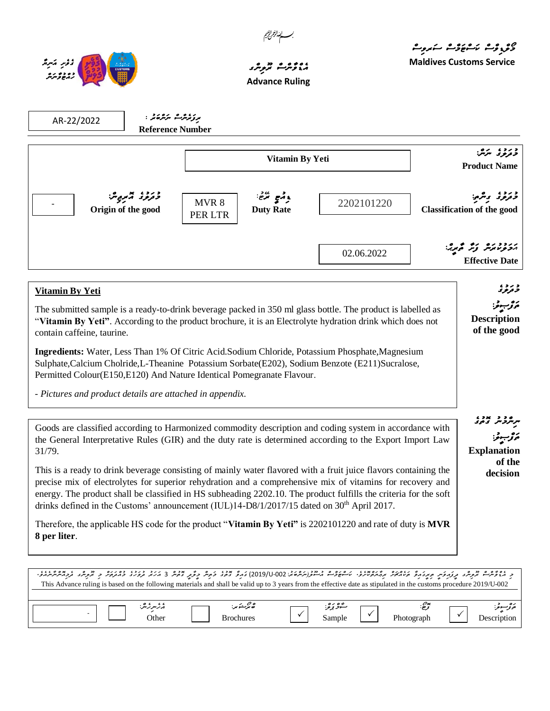



31/79.

.

## ، و و و ه مربر و ه **Advance Ruling**

م و<sub>ک</sub>و<sub>ی</sub>وژے کا مروت

**Maldives Customs Service**

**Explanation** 

**of the decision**

| AR-22/2022                                                                                                                                                                                                                                             | ىرزئەرگ ئىرەق :<br><b>Reference Number</b> |                  |                                  |                                                                                                                                                                                                                      |                                                 |  |
|--------------------------------------------------------------------------------------------------------------------------------------------------------------------------------------------------------------------------------------------------------|--------------------------------------------|------------------|----------------------------------|----------------------------------------------------------------------------------------------------------------------------------------------------------------------------------------------------------------------|-------------------------------------------------|--|
|                                                                                                                                                                                                                                                        | Vitamin By Yeti                            |                  | د دره پرس<br><b>Product Name</b> |                                                                                                                                                                                                                      |                                                 |  |
|                                                                                                                                                                                                                                                        | وتروء تيمبر ترته<br>Origin of the good     | MVR 8<br>PER LTR | وقمع ترضي<br><b>Duty Rate</b>    | 2202101220                                                                                                                                                                                                           | وروء ويرمح<br><b>Classification of the good</b> |  |
|                                                                                                                                                                                                                                                        |                                            |                  |                                  | 02.06.2022                                                                                                                                                                                                           | تكر قرنا ترتر المريرية<br><b>Effective Date</b> |  |
| Vitamin By Yeti                                                                                                                                                                                                                                        |                                            |                  |                                  |                                                                                                                                                                                                                      | و ژوء                                           |  |
| The submitted sample is a ready-to-drink beverage packed in 350 ml glass bottle. The product is labelled as<br>"Vitamin By Yeti". According to the product brochure, it is an Electrolyte hydration drink which does not<br>contain caffeine, taurine. |                                            |                  |                                  |                                                                                                                                                                                                                      |                                                 |  |
| Permitted Colour(E150,E120) And Nature Identical Pomegranate Flavour.                                                                                                                                                                                  |                                            |                  |                                  | Ingredients: Water, Less Than 1% Of Citric Acid.Sodium Chloride, Potassium Phosphate, Magnesium<br>Sulphate, Calcium Cholride, L-Theanine Potassium Sorbate (E202), Sodium Benzote (E211) Sucralose,                 |                                                 |  |
| - Pictures and product details are attached in appendix.                                                                                                                                                                                               |                                            |                  |                                  |                                                                                                                                                                                                                      |                                                 |  |
|                                                                                                                                                                                                                                                        |                                            |                  |                                  | Goods are classified according to Harmonized commodity description and coding system in accordance with<br>the General Interpretative Rules (GIR) and the duty rate is determined according to the Export Import Law |                                                 |  |

This is a ready to drink beverage consisting of mainly water flavored with a fruit juice flavors containing the precise mix of electrolytes for superior rehydration and a comprehensive mix of vitamins for recovery and energy. The product shall be classified in HS subheading 2202.10. The product fulfills the criteria for the soft drinks defined in the Customs' announcement (IUL)14-D8/1/2017/15 dated on 30<sup>th</sup> April 2017.

Therefore, the applicable HS code for the product "**Vitamin By Yeti"** is 2202101220 and rate of duty is **MVR 8 per liter**.

| د ما ۋىرم تروپر برىرىزىر مېرىرى مامەير بەيگەنلىرا ، ئەغۋىم مەسۇرىكىدى 2019-000) نىرۇ تەغر دۇمر تۇمرى ئومۇمۇم ئوم ئىر ئىرىگە ئىر ئىرىدىكى ئارىسى ئارىسى ئ<br>This Advance ruling is based on the following materials and shall be valid up to 3 years from the effective date as stipulated in the customs procedure 2019/U-002 |                  |        |              |             |
|--------------------------------------------------------------------------------------------------------------------------------------------------------------------------------------------------------------------------------------------------------------------------------------------------------------------------------|------------------|--------|--------------|-------------|
| ېزىبرىرىش:                                                                                                                                                                                                                                                                                                                     | ھ برېشو بر:      | شردېږ  | يوم.<br>توڪ: | موتونسوغر:  |
| )ther                                                                                                                                                                                                                                                                                                                          | <b>Brochures</b> | Sample | Photograph   | Description |